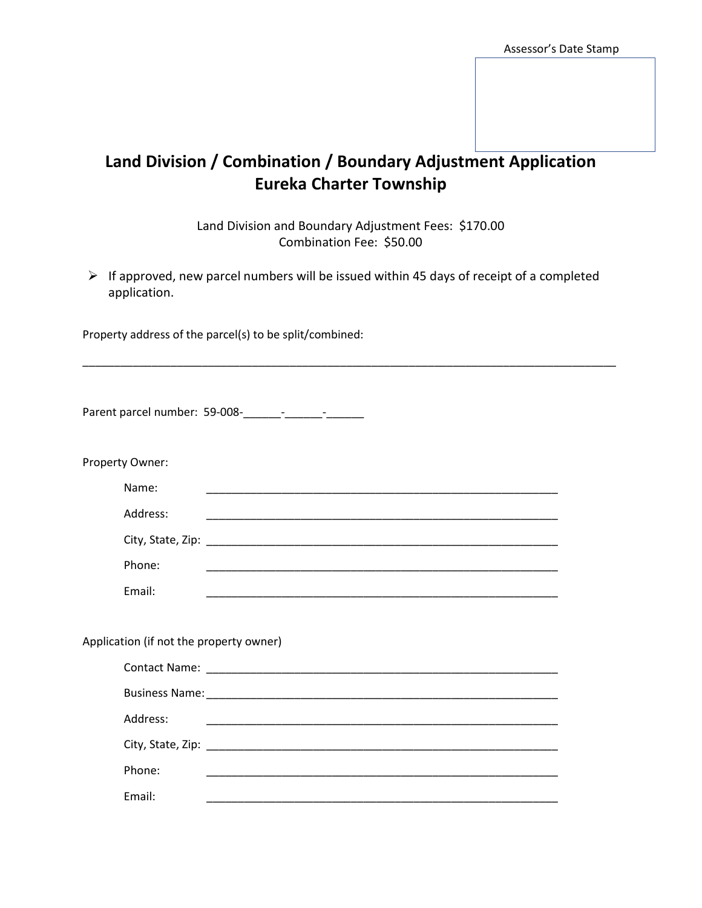## **Land Division / Combination / Boundary Adjustment Application Eureka Charter Township**

Land Division and Boundary Adjustment Fees: \$170.00 Combination Fee: \$50.00

 $\triangleright$  If approved, new parcel numbers will be issued within 45 days of receipt of a completed application.

\_\_\_\_\_\_\_\_\_\_\_\_\_\_\_\_\_\_\_\_\_\_\_\_\_\_\_\_\_\_\_\_\_\_\_\_\_\_\_\_\_\_\_\_\_\_\_\_\_\_\_\_\_\_\_\_\_\_\_\_\_\_\_\_\_\_\_\_\_\_\_\_\_\_\_\_\_\_\_\_\_\_\_\_\_

Property address of the parcel(s) to be split/combined:

| Property Owner:                                                                                                                 |  |  |  |  |
|---------------------------------------------------------------------------------------------------------------------------------|--|--|--|--|
| Name:                                                                                                                           |  |  |  |  |
| Address:                                                                                                                        |  |  |  |  |
|                                                                                                                                 |  |  |  |  |
| Phone:                                                                                                                          |  |  |  |  |
| Email:<br><u> 1989 - Johann Harry Harry Harry Harry Harry Harry Harry Harry Harry Harry Harry Harry Harry Harry Harry Harry</u> |  |  |  |  |
| Application (if not the property owner)                                                                                         |  |  |  |  |
|                                                                                                                                 |  |  |  |  |
|                                                                                                                                 |  |  |  |  |
| Address:                                                                                                                        |  |  |  |  |
|                                                                                                                                 |  |  |  |  |
| Phone:                                                                                                                          |  |  |  |  |
| Email:                                                                                                                          |  |  |  |  |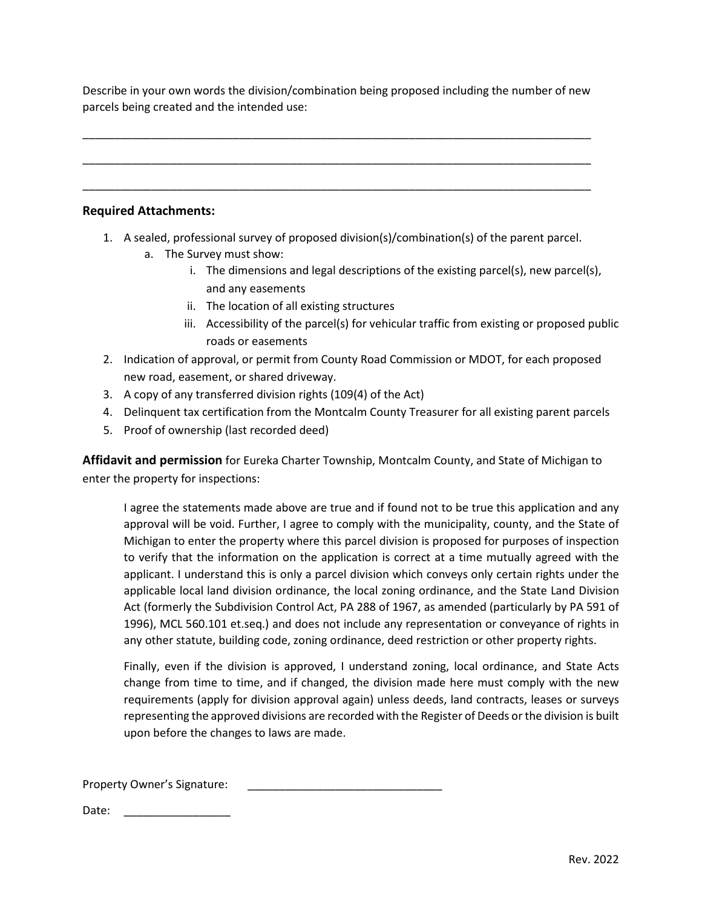Describe in your own words the division/combination being proposed including the number of new parcels being created and the intended use:

\_\_\_\_\_\_\_\_\_\_\_\_\_\_\_\_\_\_\_\_\_\_\_\_\_\_\_\_\_\_\_\_\_\_\_\_\_\_\_\_\_\_\_\_\_\_\_\_\_\_\_\_\_\_\_\_\_\_\_\_\_\_\_\_\_\_\_\_\_\_\_\_\_\_\_\_\_\_\_\_\_

\_\_\_\_\_\_\_\_\_\_\_\_\_\_\_\_\_\_\_\_\_\_\_\_\_\_\_\_\_\_\_\_\_\_\_\_\_\_\_\_\_\_\_\_\_\_\_\_\_\_\_\_\_\_\_\_\_\_\_\_\_\_\_\_\_\_\_\_\_\_\_\_\_\_\_\_\_\_\_\_\_

\_\_\_\_\_\_\_\_\_\_\_\_\_\_\_\_\_\_\_\_\_\_\_\_\_\_\_\_\_\_\_\_\_\_\_\_\_\_\_\_\_\_\_\_\_\_\_\_\_\_\_\_\_\_\_\_\_\_\_\_\_\_\_\_\_\_\_\_\_\_\_\_\_\_\_\_\_\_\_\_\_

## **Required Attachments:**

- 1. A sealed, professional survey of proposed division(s)/combination(s) of the parent parcel.
	- a. The Survey must show:
		- i. The dimensions and legal descriptions of the existing parcel(s), new parcel(s), and any easements
		- ii. The location of all existing structures
		- iii. Accessibility of the parcel(s) for vehicular traffic from existing or proposed public roads or easements
- 2. Indication of approval, or permit from County Road Commission or MDOT, for each proposed new road, easement, or shared driveway.
- 3. A copy of any transferred division rights (109(4) of the Act)
- 4. Delinquent tax certification from the Montcalm County Treasurer for all existing parent parcels
- 5. Proof of ownership (last recorded deed)

**Affidavit and permission** for Eureka Charter Township, Montcalm County, and State of Michigan to enter the property for inspections:

I agree the statements made above are true and if found not to be true this application and any approval will be void. Further, I agree to comply with the municipality, county, and the State of Michigan to enter the property where this parcel division is proposed for purposes of inspection to verify that the information on the application is correct at a time mutually agreed with the applicant. I understand this is only a parcel division which conveys only certain rights under the applicable local land division ordinance, the local zoning ordinance, and the State Land Division Act (formerly the Subdivision Control Act, PA 288 of 1967, as amended (particularly by PA 591 of 1996), MCL 560.101 et.seq.) and does not include any representation or conveyance of rights in any other statute, building code, zoning ordinance, deed restriction or other property rights.

Finally, even if the division is approved, I understand zoning, local ordinance, and State Acts change from time to time, and if changed, the division made here must comply with the new requirements (apply for division approval again) unless deeds, land contracts, leases or surveys representing the approved divisions are recorded with the Register of Deeds or the division is built upon before the changes to laws are made.

Property Owner's Signature:

Date: \_\_\_\_\_\_\_\_\_\_\_\_\_\_\_\_\_